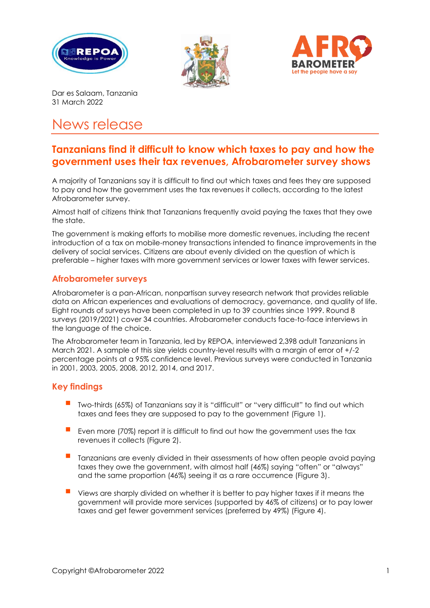





Dar es Salaam, Tanzania 31 March 2022

# News release

## **Tanzanians find it difficult to know which taxes to pay and how the government uses their tax revenues, Afrobarometer survey shows**

A majority of Tanzanians say it is difficult to find out which taxes and fees they are supposed to pay and how the government uses the tax revenues it collects, according to the latest Afrobarometer survey.

Almost half of citizens think that Tanzanians frequently avoid paying the taxes that they owe the state.

The government is making efforts to mobilise more domestic revenues, including the recent introduction of a tax on mobile-money transactions intended to finance improvements in the delivery of social services. Citizens are about evenly divided on the question of which is preferable – higher taxes with more government services or lower taxes with fewer services.

### **Afrobarometer surveys**

Afrobarometer is a pan-African, nonpartisan survey research network that provides reliable data on African experiences and evaluations of democracy, governance, and quality of life. Eight rounds of surveys have been completed in up to 39 countries since 1999. Round 8 surveys (2019/2021) cover 34 countries. Afrobarometer conducts face-to-face interviews in the language of the choice.

The Afrobarometer team in Tanzania, led by REPOA, interviewed 2,398 adult Tanzanians in March 2021. A sample of this size yields country-level results with a margin of error of +/-2 percentage points at a 95% confidence level. Previous surveys were conducted in Tanzania in 2001, 2003, 2005, 2008, 2012, 2014, and 2017.

### **Key findings**

- Two-thirds (65%) of Tanzanians say it is "difficult" or "very difficult" to find out which taxes and fees they are supposed to pay to the government (Figure 1).
- Even more (70%) report it is difficult to find out how the government uses the tax revenues it collects (Figure 2).
- Tanzanians are evenly divided in their assessments of how often people avoid paying taxes they owe the government, with almost half (46%) saying "often" or "always" and the same proportion (46%) seeing it as a rare occurrence (Figure 3).
- Views are sharply divided on whether it is better to pay higher taxes if it means the government will provide more services (supported by 46% of citizens) or to pay lower taxes and get fewer government services (preferred by 49%) (Figure 4).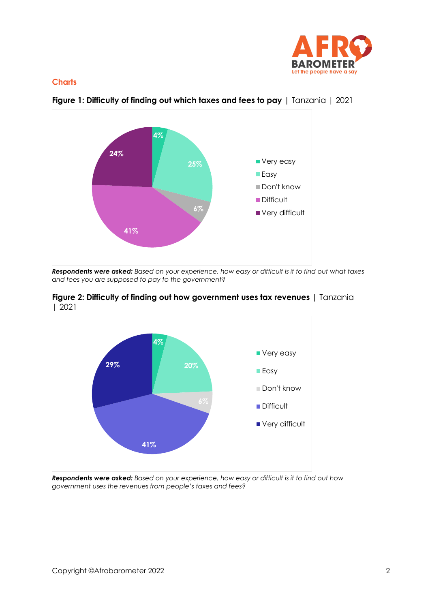

#### **Charts**



**Figure 1: Difficulty of finding out which taxes and fees to pay** | Tanzania | 2021

*Respondents were asked: Based on your experience, how easy or difficult is it to find out what taxes and fees you are supposed to pay to the government?*





*Respondents were asked: Based on your experience, how easy or difficult is it to find out how government uses the revenues from people's taxes and fees?*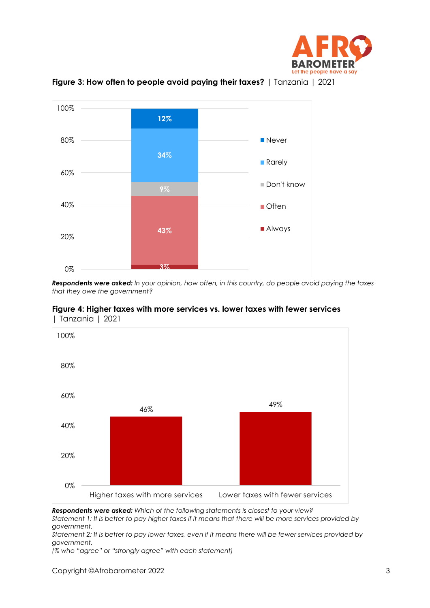



**Figure 3: How often to people avoid paying their taxes?** | Tanzania | 2021

*Respondents were asked: In your opinion, how often, in this country, do people avoid paying the taxes that they owe the government?*





*Respondents were asked: Which of the following statements is closest to your view? Statement 1: It is better to pay higher taxes if it means that there will be more services provided by* 

*government. Statement 2: It is better to pay lower taxes, even if it means there will be fewer services provided by government.*

*(% who "agree" or "strongly agree" with each statement)*